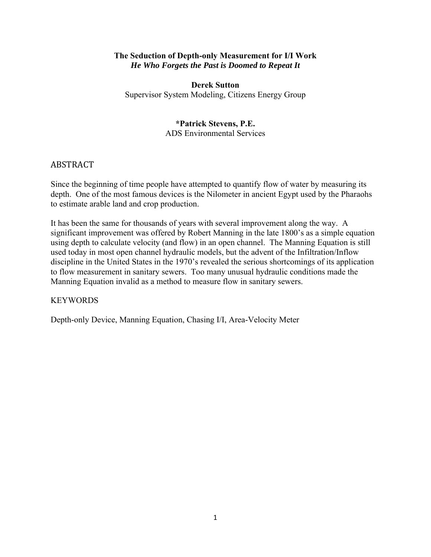#### **The Seduction of Depth-only Measurement for I/I Work**  *He Who Forgets the Past is Doomed to Repeat It*

**Derek Sutton** Supervisor System Modeling, Citizens Energy Group

# **\*Patrick Stevens, P.E.**

ADS Environmental Services

# ABSTRACT

Since the beginning of time people have attempted to quantify flow of water by measuring its depth. One of the most famous devices is the Nilometer in ancient Egypt used by the Pharaohs to estimate arable land and crop production.

It has been the same for thousands of years with several improvement along the way. A significant improvement was offered by Robert Manning in the late 1800's as a simple equation using depth to calculate velocity (and flow) in an open channel. The Manning Equation is still used today in most open channel hydraulic models, but the advent of the Infiltration/Inflow discipline in the United States in the 1970's revealed the serious shortcomings of its application to flow measurement in sanitary sewers. Too many unusual hydraulic conditions made the Manning Equation invalid as a method to measure flow in sanitary sewers.

## KEYWORDS

Depth-only Device, Manning Equation, Chasing I/I, Area-Velocity Meter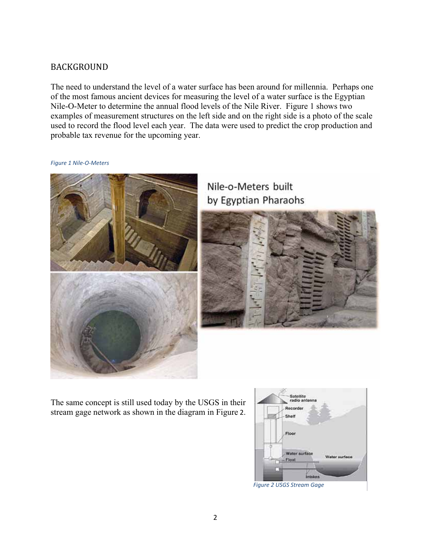# BACKGROUND

The need to understand the level of a water surface has been around for millennia. Perhaps one of the most famous ancient devices for measuring the level of a water surface is the Egyptian Nile-O-Meter to determine the annual flood levels of the Nile River. Figure 1 shows two examples of measurement structures on the left side and on the right side is a photo of the scale used to record the flood level each year. The data were used to predict the crop production and probable tax revenue for the upcoming year.



*Figure 1 Nile‐O‐Meters* 

Nile-o-Meters built by Egyptian Pharaohs



The same concept is still used today by the USGS in their stream gage network as shown in the diagram in Figure 2.

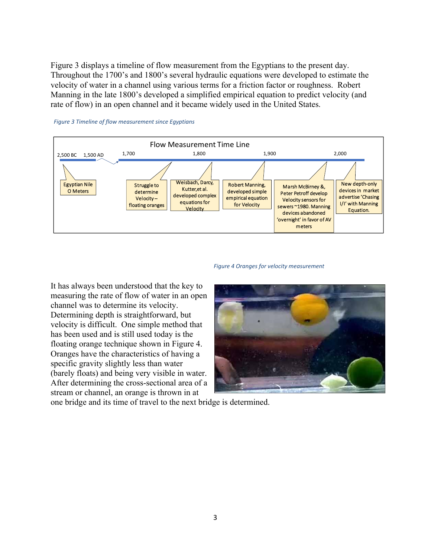Figure 3 displays a timeline of flow measurement from the Egyptians to the present day. Throughout the 1700's and 1800's several hydraulic equations were developed to estimate the velocity of water in a channel using various terms for a friction factor or roughness. Robert Manning in the late 1800's developed a simplified empirical equation to predict velocity (and rate of flow) in an open channel and it became widely used in the United States.



#### *Figure 3 Timeline of flow measurement since Egyptians*

#### *Figure 4 Oranges for velocity measurement*

It has always been understood that the key to measuring the rate of flow of water in an open channel was to determine its velocity. Determining depth is straightforward, but velocity is difficult. One simple method that has been used and is still used today is the floating orange technique shown in Figure 4. Oranges have the characteristics of having a specific gravity slightly less than water (barely floats) and being very visible in water. After determining the cross-sectional area of a stream or channel, an orange is thrown in at



one bridge and its time of travel to the next bridge is determined.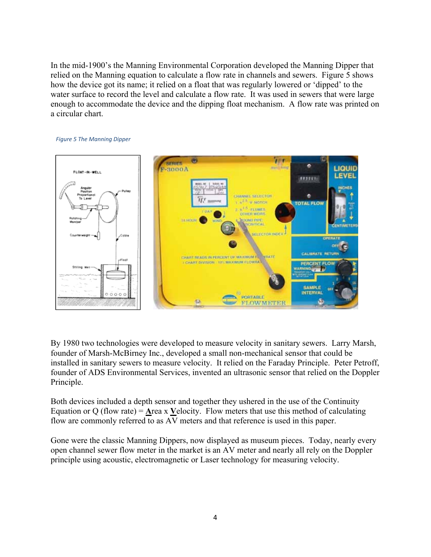In the mid-1900's the Manning Environmental Corporation developed the Manning Dipper that relied on the Manning equation to calculate a flow rate in channels and sewers. Figure 5 shows how the device got its name; it relied on a float that was regularly lowered or 'dipped' to the water surface to record the level and calculate a flow rate. It was used in sewers that were large enough to accommodate the device and the dipping float mechanism. A flow rate was printed on a circular chart.



#### *Figure 5 The Manning Dipper*

By 1980 two technologies were developed to measure velocity in sanitary sewers. Larry Marsh, founder of Marsh-McBirney Inc., developed a small non-mechanical sensor that could be installed in sanitary sewers to measure velocity. It relied on the Faraday Principle. Peter Petroff, founder of ADS Environmental Services, invented an ultrasonic sensor that relied on the Doppler Principle.

Both devices included a depth sensor and together they ushered in the use of the Continuity Equation or Q (flow rate) = **A**rea x **V**elocity. Flow meters that use this method of calculating flow are commonly referred to as AV meters and that reference is used in this paper.

Gone were the classic Manning Dippers, now displayed as museum pieces. Today, nearly every open channel sewer flow meter in the market is an AV meter and nearly all rely on the Doppler principle using acoustic, electromagnetic or Laser technology for measuring velocity.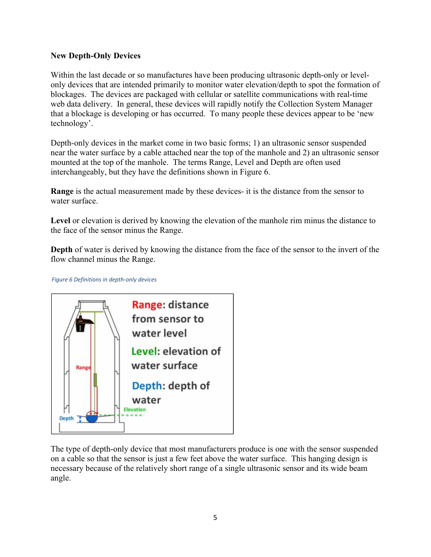### **New Depth-Only Devices**

Within the last decade or so manufactures have been producing ultrasonic depth-only or levelonly devices that are intended primarily to monitor water elevation/depth to spot the formation of blockages. The devices are packaged with cellular or satellite communications with real-time web data delivery. In general, these devices will rapidly notify the Collection System Manager that a blockage is developing or has occurred. To many people these devices appear to be 'new technology'.

Depth-only devices in the market come in two basic forms; 1) an ultrasonic sensor suspended near the water surface by a cable attached near the top of the manhole and 2) an ultrasonic sensor mounted at the top of the manhole. The terms Range, Level and Depth are often used interchangeably, but they have the definitions shown in Figure 6.

**Range** is the actual measurement made by these devices- it is the distance from the sensor to water surface.

**Level** or elevation is derived by knowing the elevation of the manhole rim minus the distance to the face of the sensor minus the Range.

**Depth** of water is derived by knowing the distance from the face of the sensor to the invert of the flow channel minus the Range.

*Figure 6 Definitions in depth‐only devices* 



The type of depth-only device that most manufacturers produce is one with the sensor suspended on a cable so that the sensor is just a few feet above the water surface. This hanging design is necessary because of the relatively short range of a single ultrasonic sensor and its wide beam angle.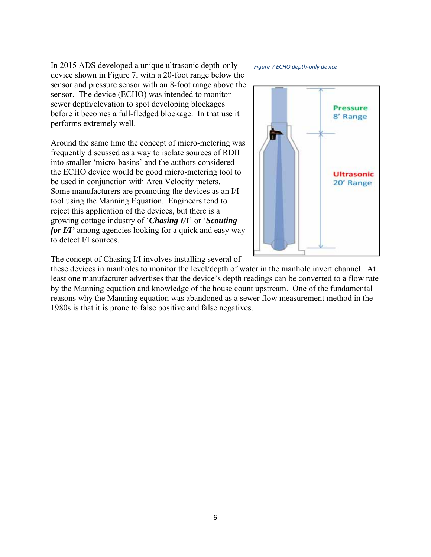In 2015 ADS developed a unique ultrasonic depth-only device shown in Figure 7, with a 20-foot range below the sensor and pressure sensor with an 8-foot range above the sensor. The device (ECHO) was intended to monitor sewer depth/elevation to spot developing blockages before it becomes a full-fledged blockage. In that use it performs extremely well.

Around the same time the concept of micro-metering was frequently discussed as a way to isolate sources of RDII into smaller 'micro-basins' and the authors considered the ECHO device would be good micro-metering tool to be used in conjunction with Area Velocity meters. Some manufacturers are promoting the devices as an I/I tool using the Manning Equation. Engineers tend to reject this application of the devices, but there is a growing cottage industry of '*Chasing I/I*' or '*Scouting for I/I'* among agencies looking for a quick and easy way to detect I/I sources.

#### *Figure 7 ECHO depth‐only device*



The concept of Chasing I/I involves installing several of

these devices in manholes to monitor the level/depth of water in the manhole invert channel. At least one manufacturer advertises that the device's depth readings can be converted to a flow rate by the Manning equation and knowledge of the house count upstream. One of the fundamental reasons why the Manning equation was abandoned as a sewer flow measurement method in the 1980s is that it is prone to false positive and false negatives.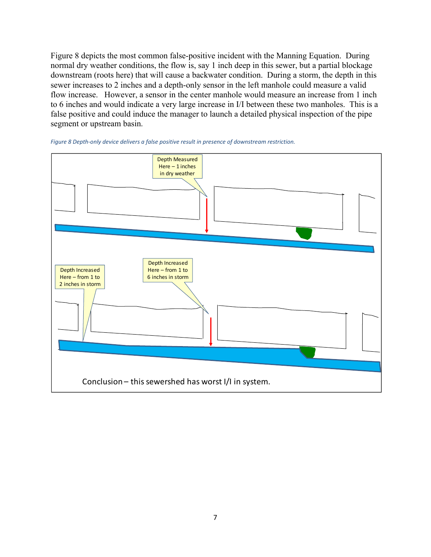Figure 8 depicts the most common false-positive incident with the Manning Equation. During normal dry weather conditions, the flow is, say 1 inch deep in this sewer, but a partial blockage downstream (roots here) that will cause a backwater condition. During a storm, the depth in this sewer increases to 2 inches and a depth-only sensor in the left manhole could measure a valid flow increase. However, a sensor in the center manhole would measure an increase from 1 inch to 6 inches and would indicate a very large increase in I/I between these two manholes. This is a false positive and could induce the manager to launch a detailed physical inspection of the pipe segment or upstream basin.



*Figure 8 Depth‐only device delivers a false positive result in presence of downstream restriction.*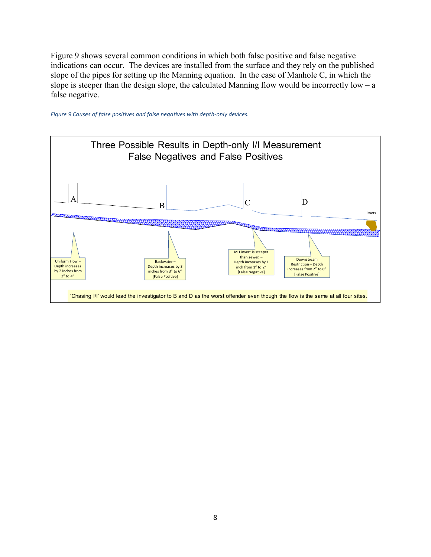Figure 9 shows several common conditions in which both false positive and false negative indications can occur. The devices are installed from the surface and they rely on the published slope of the pipes for setting up the Manning equation. In the case of Manhole C, in which the slope is steeper than the design slope, the calculated Manning flow would be incorrectly low – a false negative.



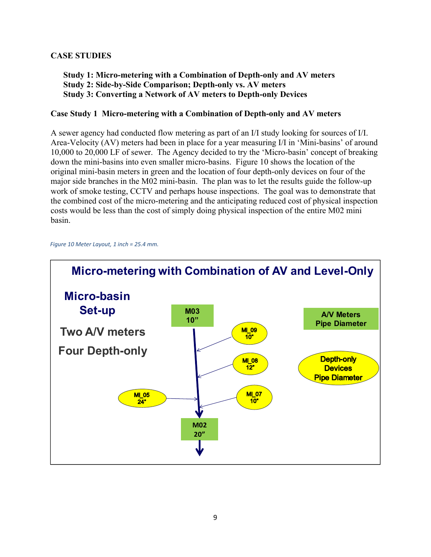## **CASE STUDIES**

### **Study 1: Micro-metering with a Combination of Depth-only and AV meters Study 2: Side-by-Side Comparison; Depth-only vs. AV meters Study 3: Converting a Network of AV meters to Depth-only Devices**

### **Case Study 1 Micro-metering with a Combination of Depth-only and AV meters**

A sewer agency had conducted flow metering as part of an I/I study looking for sources of I/I. Area-Velocity (AV) meters had been in place for a year measuring I/I in 'Mini-basins' of around 10,000 to 20,000 LF of sewer. The Agency decided to try the 'Micro-basin' concept of breaking down the mini-basins into even smaller micro-basins. Figure 10 shows the location of the original mini-basin meters in green and the location of four depth-only devices on four of the major side branches in the M02 mini-basin. The plan was to let the results guide the follow-up work of smoke testing, CCTV and perhaps house inspections. The goal was to demonstrate that the combined cost of the micro-metering and the anticipating reduced cost of physical inspection costs would be less than the cost of simply doing physical inspection of the entire M02 mini basin.

*Figure 10 Meter Layout, 1 inch = 25.4 mm.* 

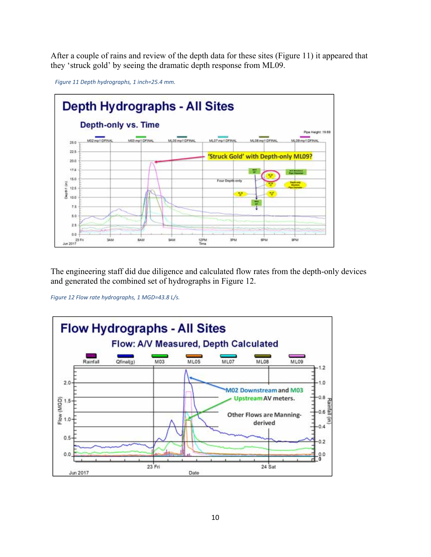After a couple of rains and review of the depth data for these sites (Figure 11) it appeared that they 'struck gold' by seeing the dramatic depth response from ML09.





The engineering staff did due diligence and calculated flow rates from the depth-only devices and generated the combined set of hydrographs in Figure 12.

*Figure 12 Flow rate hydrographs, 1 MGD=43.8 L/s.* 

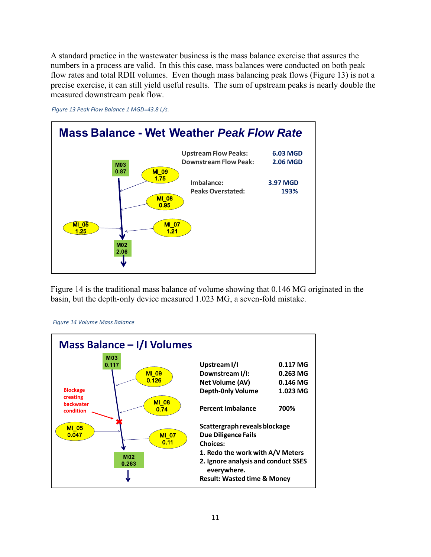A standard practice in the wastewater business is the mass balance exercise that assures the numbers in a process are valid. In this this case, mass balances were conducted on both peak flow rates and total RDII volumes. Even though mass balancing peak flows (Figure 13) is not a precise exercise, it can still yield useful results. The sum of upstream peaks is nearly double the measured downstream peak flow.



*Figure 13 Peak Flow Balance 1 MGD=43.8 L/s.* 

Figure 14 is the traditional mass balance of volume showing that 0.146 MG originated in the basin, but the depth-only device measured 1.023 MG, a seven-fold mistake.



*Figure 14 Volume Mass Balance*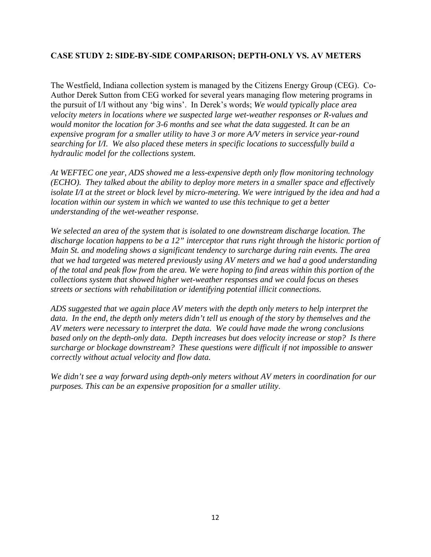## **CASE STUDY 2: SIDE-BY-SIDE COMPARISON; DEPTH-ONLY VS. AV METERS**

The Westfield, Indiana collection system is managed by the Citizens Energy Group (CEG). Co-Author Derek Sutton from CEG worked for several years managing flow metering programs in the pursuit of I/I without any 'big wins'. In Derek's words; *We would typically place area velocity meters in locations where we suspected large wet-weather responses or R-values and would monitor the location for 3-6 months and see what the data suggested. It can be an expensive program for a smaller utility to have 3 or more A/V meters in service year-round searching for I/I. We also placed these meters in specific locations to successfully build a hydraulic model for the collections system.* 

*At WEFTEC one year, ADS showed me a less-expensive depth only flow monitoring technology (ECHO). They talked about the ability to deploy more meters in a smaller space and effectively isolate I/I at the street or block level by micro-metering. We were intrigued by the idea and had a location within our system in which we wanted to use this technique to get a better understanding of the wet-weather response.* 

*We selected an area of the system that is isolated to one downstream discharge location. The discharge location happens to be a 12" interceptor that runs right through the historic portion of Main St. and modeling shows a significant tendency to surcharge during rain events. The area that we had targeted was metered previously using AV meters and we had a good understanding of the total and peak flow from the area. We were hoping to find areas within this portion of the collections system that showed higher wet-weather responses and we could focus on theses streets or sections with rehabilitation or identifying potential illicit connections.* 

*ADS suggested that we again place AV meters with the depth only meters to help interpret the data. In the end, the depth only meters didn't tell us enough of the story by themselves and the AV meters were necessary to interpret the data. We could have made the wrong conclusions based only on the depth-only data. Depth increases but does velocity increase or stop? Is there surcharge or blockage downstream? These questions were difficult if not impossible to answer correctly without actual velocity and flow data.* 

*We didn't see a way forward using depth-only meters without AV meters in coordination for our purposes. This can be an expensive proposition for a smaller utility*.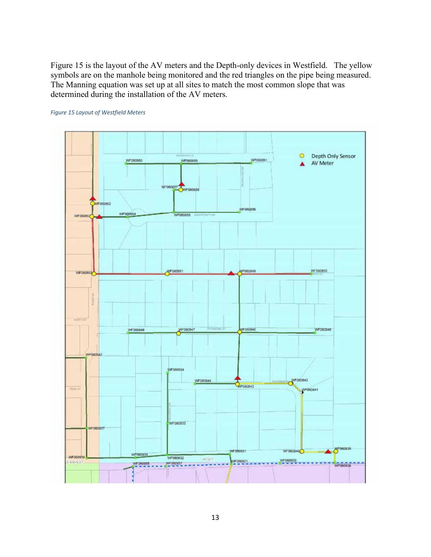Figure 15 is the layout of the AV meters and the Depth-only devices in Westfield. The yellow symbols are on the manhole being monitored and the red triangles on the pipe being measured. The Manning equation was set up at all sites to match the most common slope that was determined during the installation of the AV meters.

#### *Figure 15 Layout of Westfield Meters*

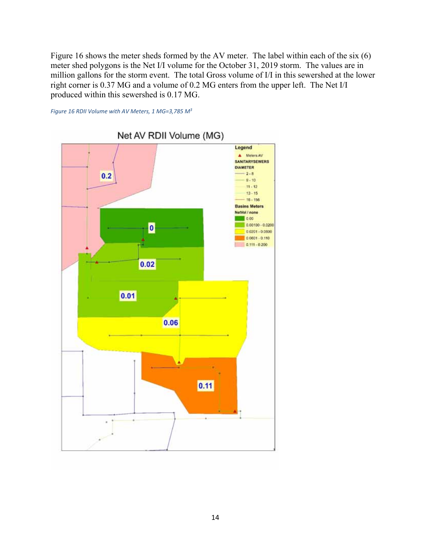Figure 16 shows the meter sheds formed by the AV meter. The label within each of the six (6) meter shed polygons is the Net I/I volume for the October 31, 2019 storm. The values are in million gallons for the storm event. The total Gross volume of I/I in this sewershed at the lower right corner is 0.37 MG and a volume of 0.2 MG enters from the upper left. The Net I/I produced within this sewershed is 0.17 MG.



*Figure 16 RDII Volume with AV Meters, 1 MG=3,785 M3*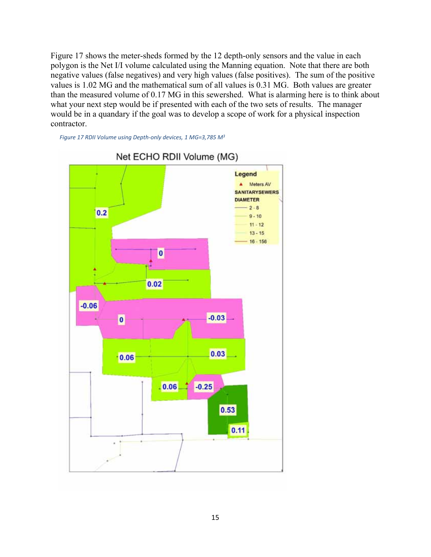Figure 17 shows the meter-sheds formed by the 12 depth-only sensors and the value in each polygon is the Net I/I volume calculated using the Manning equation. Note that there are both negative values (false negatives) and very high values (false positives). The sum of the positive values is 1.02 MG and the mathematical sum of all values is 0.31 MG. Both values are greater than the measured volume of 0.17 MG in this sewershed. What is alarming here is to think about what your next step would be if presented with each of the two sets of results. The manager would be in a quandary if the goal was to develop a scope of work for a physical inspection contractor.

*Figure 17 RDII Volume using Depth‐only devices, 1 MG=3,785 M3*



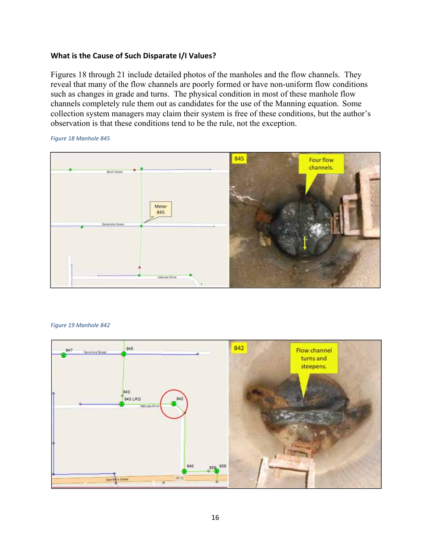#### **What is the Cause of Such Disparate I/I Values?**

Figures 18 through 21 include detailed photos of the manholes and the flow channels. They reveal that many of the flow channels are poorly formed or have non-uniform flow conditions such as changes in grade and turns. The physical condition in most of these manhole flow channels completely rule them out as candidates for the use of the Manning equation. Some collection system managers may claim their system is free of these conditions, but the author's observation is that these conditions tend to be the rule, not the exception.

*Figure 18 Manhole 845* 



#### *Figure 19 Manhole 842*

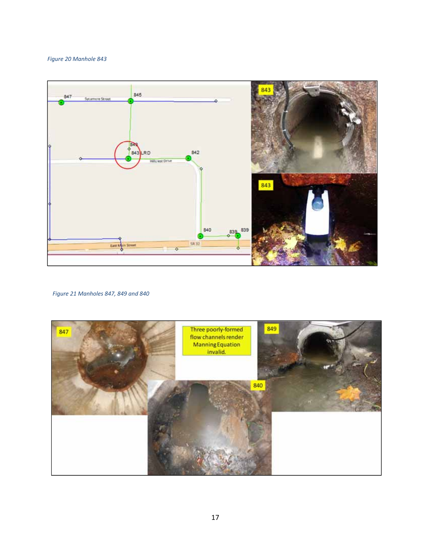*Figure 20 Manhole 843* 



*Figure 21 Manholes 847, 849 and 840* 

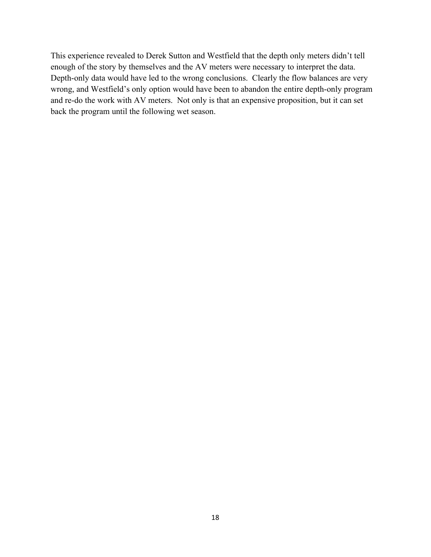This experience revealed to Derek Sutton and Westfield that the depth only meters didn't tell enough of the story by themselves and the AV meters were necessary to interpret the data. Depth-only data would have led to the wrong conclusions. Clearly the flow balances are very wrong, and Westfield's only option would have been to abandon the entire depth-only program and re-do the work with AV meters. Not only is that an expensive proposition, but it can set back the program until the following wet season.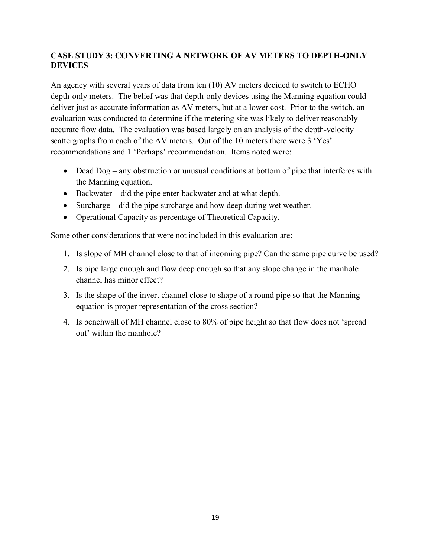# **CASE STUDY 3: CONVERTING A NETWORK OF AV METERS TO DEPTH-ONLY DEVICES**

An agency with several years of data from ten (10) AV meters decided to switch to ECHO depth-only meters. The belief was that depth-only devices using the Manning equation could deliver just as accurate information as AV meters, but at a lower cost. Prior to the switch, an evaluation was conducted to determine if the metering site was likely to deliver reasonably accurate flow data. The evaluation was based largely on an analysis of the depth-velocity scattergraphs from each of the AV meters. Out of the 10 meters there were 3 'Yes' recommendations and 1 'Perhaps' recommendation. Items noted were:

- $\bullet$  Dead Dog any obstruction or unusual conditions at bottom of pipe that interferes with the Manning equation.
- Backwater did the pipe enter backwater and at what depth.
- Surcharge did the pipe surcharge and how deep during wet weather.
- Operational Capacity as percentage of Theoretical Capacity.

Some other considerations that were not included in this evaluation are:

- 1. Is slope of MH channel close to that of incoming pipe? Can the same pipe curve be used?
- 2. Is pipe large enough and flow deep enough so that any slope change in the manhole channel has minor effect?
- 3. Is the shape of the invert channel close to shape of a round pipe so that the Manning equation is proper representation of the cross section?
- 4. Is benchwall of MH channel close to 80% of pipe height so that flow does not 'spread out' within the manhole?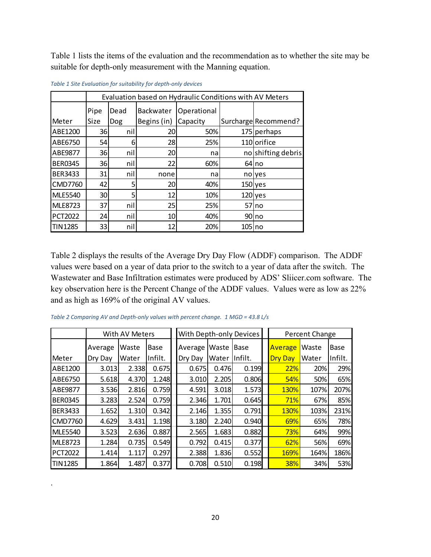Table 1 lists the items of the evaluation and the recommendation as to whether the site may be suitable for depth-only measurement with the Manning equation.

|                | Evaluation based on Hydraulic Conditions with AV Meters |      |             |             |        |                      |  |  |  |
|----------------|---------------------------------------------------------|------|-------------|-------------|--------|----------------------|--|--|--|
|                | Pipe                                                    | Dead | Backwater   | Operational |        |                      |  |  |  |
| Meter          | Size                                                    | Dog  | Begins (in) | Capacity    |        | Surcharge Recommend? |  |  |  |
| ABE1200        | 36                                                      | nil  | 20          | 50%         |        | 175 perhaps          |  |  |  |
| ABE6750        | 54                                                      | 6    | 28          | 25%         |        | 110 orifice          |  |  |  |
| ABE9877        | 36                                                      | nil  | 20          | na          |        | no shifting debris   |  |  |  |
| <b>BER0345</b> | 36                                                      | nil  | 22          | 60%         |        | $64$ no              |  |  |  |
| <b>BER3433</b> | 31                                                      | nil  | none        | na          |        | nolyes               |  |  |  |
| <b>CMD7760</b> | 42                                                      | 5    | 20          | 40%         |        | $150$ yes            |  |  |  |
| <b>MLE5540</b> | 30                                                      | 5    | 12          | 10%         |        | $120$ yes            |  |  |  |
| <b>MLE8723</b> | 37                                                      | nil  | 25          | 25%         | 57     | Ino                  |  |  |  |
| <b>PCT2022</b> | 24                                                      | nil  | 10          | 40%         |        | 90 no                |  |  |  |
| <b>TIN1285</b> | 33                                                      | nil  | 12          | 20%         | 105 no |                      |  |  |  |

*Table 1 Site Evaluation for suitability for depth‐only devices* 

Table 2 displays the results of the Average Dry Day Flow (ADDF) comparison. The ADDF values were based on a year of data prior to the switch to a year of data after the switch. The Wastewater and Base Infiltration estimates were produced by ADS' Sliicer.com software. The key observation here is the Percent Change of the ADDF values. Values were as low as 22% and as high as 169% of the original AV values.

*Table 2 Comparing AV and Depth‐only values with percent change. 1 MGD = 43.8 L/s* 

.

|                | With AV Meters |       |         | With Depth-only Devices |       |             |  | Percent Change |       |         |
|----------------|----------------|-------|---------|-------------------------|-------|-------------|--|----------------|-------|---------|
|                | Average        | Waste | Base    | Average                 | Waste | <b>Base</b> |  | Average        | Waste | Base    |
| Meter          | Dry Day        | Water | Infilt. | Dry Day                 | Water | Infilt.     |  | <b>Dry Day</b> | Water | Infilt. |
| ABE1200        | 3.013          | 2.338 | 0.675   | 0.675                   | 0.476 | 0.199       |  | 22%            | 20%   | 29%     |
| ABE6750        | 5.618          | 4.370 | 1.248   | 3.010                   | 2.205 | 0.806       |  | 54%            | 50%   | 65%     |
| ABE9877        | 3.536          | 2.816 | 0.759   | 4.591                   | 3.018 | 1.573       |  | <b>130%</b>    | 107%  | 207%    |
| <b>BER0345</b> | 3.283          | 2.524 | 0.759   | 2.346                   | 1.701 | 0.645       |  | 71%            | 67%   | 85%     |
| <b>BER3433</b> | 1.652          | 1.310 | 0.342   | 2.146                   | 1.355 | 0.791       |  | <b>130%</b>    | 103%  | 231%    |
| <b>CMD7760</b> | 4.629          | 3.431 | 1.198   | 3.180                   | 2.240 | 0.940       |  | 69%            | 65%   | 78%     |
| <b>MLE5540</b> | 3.523          | 2.636 | 0.887   | 2.565                   | 1.683 | 0.882       |  | 73%            | 64%   | 99%     |
| <b>MLE8723</b> | 1.284          | 0.735 | 0.549   | 0.792                   | 0.415 | 0.377       |  | 62%            | 56%   | 69%     |
| <b>PCT2022</b> | 1.414          | 1.117 | 0.297   | 2.388                   | 1.836 | 0.552       |  | <b>169%</b>    | 164%  | 186%    |
| <b>TIN1285</b> | 1.864          | 1.487 | 0.377   | 0.708                   | 0.510 | 0.198       |  | <b>38%</b>     | 34%   | 53%     |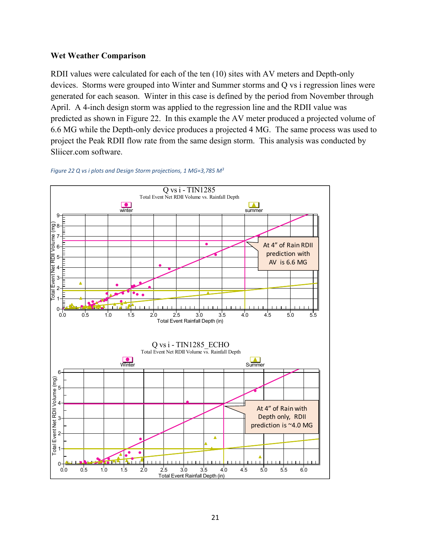#### **Wet Weather Comparison**

RDII values were calculated for each of the ten (10) sites with AV meters and Depth-only devices. Storms were grouped into Winter and Summer storms and Q vs i regression lines were generated for each season. Winter in this case is defined by the period from November through April. A 4-inch design storm was applied to the regression line and the RDII value was predicted as shown in Figure 22. In this example the AV meter produced a projected volume of 6.6 MG while the Depth-only device produces a projected 4 MG. The same process was used to project the Peak RDII flow rate from the same design storm. This analysis was conducted by Sliicer.com software.



*Figure 22 Q vs i plots and Design Storm projections, 1 MG=3,785 M3*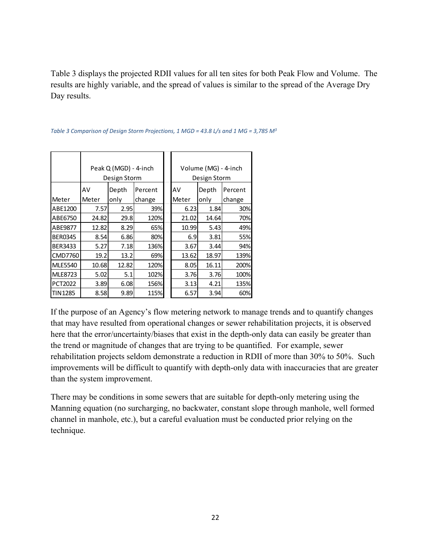Table 3 displays the projected RDII values for all ten sites for both Peak Flow and Volume. The results are highly variable, and the spread of values is similar to the spread of the Average Dry Day results.

|                |       | Peak Q (MGD) - 4-inch |         | Volume (MG) - 4-inch |       |         |  |  |
|----------------|-------|-----------------------|---------|----------------------|-------|---------|--|--|
|                |       | Design Storm          |         | Design Storm         |       |         |  |  |
|                | AV    | Depth                 | Percent | AV                   | Depth | Percent |  |  |
| Meter          | Meter | only                  | change  | Meter                | only  | change  |  |  |
| ABE1200        | 7.57  | 2.95                  | 39%     | 6.23                 | 1.84  | 30%     |  |  |
| ABE6750        | 24.82 | 29.8                  | 120%    | 21.02                | 14.64 | 70%     |  |  |
| ABE9877        | 12.82 | 8.29                  | 65%     | 10.99                | 5.43  | 49%     |  |  |
| <b>BER0345</b> | 8.54  | 6.86                  | 80%     | 6.9                  | 3.81  | 55%     |  |  |
| BER3433        | 5.27  | 7.18I                 | 136%    | 3.67                 | 3.44  | 94%     |  |  |
| <b>CMD7760</b> | 19.2  | 13.2                  | 69%     | 13.62                | 18.97 | 139%    |  |  |
| <b>MLE5540</b> | 10.68 | 12.82                 | 120%    | 8.05                 | 16.11 | 200%    |  |  |
| MLE8723        | 5.02  | 5.1                   | 102%    | 3.76                 | 3.76  | 100%    |  |  |
| <b>PCT2022</b> | 3.89  | 6.08                  | 156%    | 3.13                 | 4.21  | 135%    |  |  |
| <b>TIN1285</b> | 8.58  | 9.89                  | 115%    | 6.57                 | 3.94  | 60%     |  |  |

*Table 3 Comparison of Design Storm Projections, 1 MGD = 43.8 L/s and 1 MG = 3,785 M3*

If the purpose of an Agency's flow metering network to manage trends and to quantify changes that may have resulted from operational changes or sewer rehabilitation projects, it is observed here that the error/uncertainty/biases that exist in the depth-only data can easily be greater than the trend or magnitude of changes that are trying to be quantified. For example, sewer rehabilitation projects seldom demonstrate a reduction in RDII of more than 30% to 50%. Such improvements will be difficult to quantify with depth-only data with inaccuracies that are greater than the system improvement.

There may be conditions in some sewers that are suitable for depth-only metering using the Manning equation (no surcharging, no backwater, constant slope through manhole, well formed channel in manhole, etc.), but a careful evaluation must be conducted prior relying on the technique.